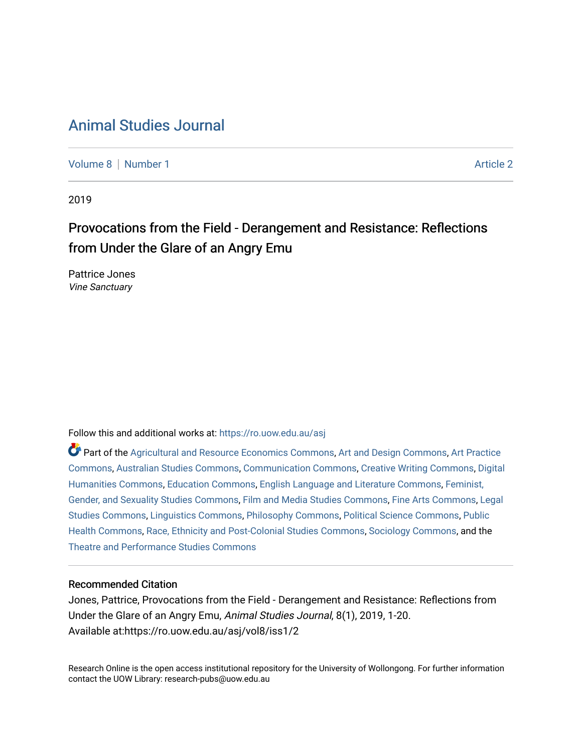# [Animal Studies Journal](https://ro.uow.edu.au/asj)

[Volume 8](https://ro.uow.edu.au/asj/vol8) | [Number 1](https://ro.uow.edu.au/asj/vol8/iss1) Article 2

2019

# Provocations from the Field - Derangement and Resistance: Reflections from Under the Glare of an Angry Emu

Pattrice Jones Vine Sanctuary

Follow this and additional works at: [https://ro.uow.edu.au/asj](https://ro.uow.edu.au/asj?utm_source=ro.uow.edu.au%2Fasj%2Fvol8%2Fiss1%2F2&utm_medium=PDF&utm_campaign=PDFCoverPages) 

Part of the [Agricultural and Resource Economics Commons,](http://network.bepress.com/hgg/discipline/317?utm_source=ro.uow.edu.au%2Fasj%2Fvol8%2Fiss1%2F2&utm_medium=PDF&utm_campaign=PDFCoverPages) [Art and Design Commons](http://network.bepress.com/hgg/discipline/1049?utm_source=ro.uow.edu.au%2Fasj%2Fvol8%2Fiss1%2F2&utm_medium=PDF&utm_campaign=PDFCoverPages), [Art Practice](http://network.bepress.com/hgg/discipline/509?utm_source=ro.uow.edu.au%2Fasj%2Fvol8%2Fiss1%2F2&utm_medium=PDF&utm_campaign=PDFCoverPages) [Commons](http://network.bepress.com/hgg/discipline/509?utm_source=ro.uow.edu.au%2Fasj%2Fvol8%2Fiss1%2F2&utm_medium=PDF&utm_campaign=PDFCoverPages), [Australian Studies Commons,](http://network.bepress.com/hgg/discipline/1020?utm_source=ro.uow.edu.au%2Fasj%2Fvol8%2Fiss1%2F2&utm_medium=PDF&utm_campaign=PDFCoverPages) [Communication Commons,](http://network.bepress.com/hgg/discipline/325?utm_source=ro.uow.edu.au%2Fasj%2Fvol8%2Fiss1%2F2&utm_medium=PDF&utm_campaign=PDFCoverPages) [Creative Writing Commons,](http://network.bepress.com/hgg/discipline/574?utm_source=ro.uow.edu.au%2Fasj%2Fvol8%2Fiss1%2F2&utm_medium=PDF&utm_campaign=PDFCoverPages) [Digital](http://network.bepress.com/hgg/discipline/1286?utm_source=ro.uow.edu.au%2Fasj%2Fvol8%2Fiss1%2F2&utm_medium=PDF&utm_campaign=PDFCoverPages) [Humanities Commons,](http://network.bepress.com/hgg/discipline/1286?utm_source=ro.uow.edu.au%2Fasj%2Fvol8%2Fiss1%2F2&utm_medium=PDF&utm_campaign=PDFCoverPages) [Education Commons,](http://network.bepress.com/hgg/discipline/784?utm_source=ro.uow.edu.au%2Fasj%2Fvol8%2Fiss1%2F2&utm_medium=PDF&utm_campaign=PDFCoverPages) [English Language and Literature Commons](http://network.bepress.com/hgg/discipline/455?utm_source=ro.uow.edu.au%2Fasj%2Fvol8%2Fiss1%2F2&utm_medium=PDF&utm_campaign=PDFCoverPages), [Feminist,](http://network.bepress.com/hgg/discipline/559?utm_source=ro.uow.edu.au%2Fasj%2Fvol8%2Fiss1%2F2&utm_medium=PDF&utm_campaign=PDFCoverPages) [Gender, and Sexuality Studies Commons](http://network.bepress.com/hgg/discipline/559?utm_source=ro.uow.edu.au%2Fasj%2Fvol8%2Fiss1%2F2&utm_medium=PDF&utm_campaign=PDFCoverPages), [Film and Media Studies Commons](http://network.bepress.com/hgg/discipline/563?utm_source=ro.uow.edu.au%2Fasj%2Fvol8%2Fiss1%2F2&utm_medium=PDF&utm_campaign=PDFCoverPages), [Fine Arts Commons,](http://network.bepress.com/hgg/discipline/1141?utm_source=ro.uow.edu.au%2Fasj%2Fvol8%2Fiss1%2F2&utm_medium=PDF&utm_campaign=PDFCoverPages) [Legal](http://network.bepress.com/hgg/discipline/366?utm_source=ro.uow.edu.au%2Fasj%2Fvol8%2Fiss1%2F2&utm_medium=PDF&utm_campaign=PDFCoverPages)  [Studies Commons,](http://network.bepress.com/hgg/discipline/366?utm_source=ro.uow.edu.au%2Fasj%2Fvol8%2Fiss1%2F2&utm_medium=PDF&utm_campaign=PDFCoverPages) [Linguistics Commons,](http://network.bepress.com/hgg/discipline/371?utm_source=ro.uow.edu.au%2Fasj%2Fvol8%2Fiss1%2F2&utm_medium=PDF&utm_campaign=PDFCoverPages) [Philosophy Commons](http://network.bepress.com/hgg/discipline/525?utm_source=ro.uow.edu.au%2Fasj%2Fvol8%2Fiss1%2F2&utm_medium=PDF&utm_campaign=PDFCoverPages), [Political Science Commons](http://network.bepress.com/hgg/discipline/386?utm_source=ro.uow.edu.au%2Fasj%2Fvol8%2Fiss1%2F2&utm_medium=PDF&utm_campaign=PDFCoverPages), [Public](http://network.bepress.com/hgg/discipline/738?utm_source=ro.uow.edu.au%2Fasj%2Fvol8%2Fiss1%2F2&utm_medium=PDF&utm_campaign=PDFCoverPages) [Health Commons,](http://network.bepress.com/hgg/discipline/738?utm_source=ro.uow.edu.au%2Fasj%2Fvol8%2Fiss1%2F2&utm_medium=PDF&utm_campaign=PDFCoverPages) [Race, Ethnicity and Post-Colonial Studies Commons,](http://network.bepress.com/hgg/discipline/566?utm_source=ro.uow.edu.au%2Fasj%2Fvol8%2Fiss1%2F2&utm_medium=PDF&utm_campaign=PDFCoverPages) [Sociology Commons](http://network.bepress.com/hgg/discipline/416?utm_source=ro.uow.edu.au%2Fasj%2Fvol8%2Fiss1%2F2&utm_medium=PDF&utm_campaign=PDFCoverPages), and the [Theatre and Performance Studies Commons](http://network.bepress.com/hgg/discipline/552?utm_source=ro.uow.edu.au%2Fasj%2Fvol8%2Fiss1%2F2&utm_medium=PDF&utm_campaign=PDFCoverPages) 

## Recommended Citation

Jones, Pattrice, Provocations from the Field - Derangement and Resistance: Reflections from Under the Glare of an Angry Emu, Animal Studies Journal, 8(1), 2019, 1-20. Available at:https://ro.uow.edu.au/asj/vol8/iss1/2

Research Online is the open access institutional repository for the University of Wollongong. For further information contact the UOW Library: research-pubs@uow.edu.au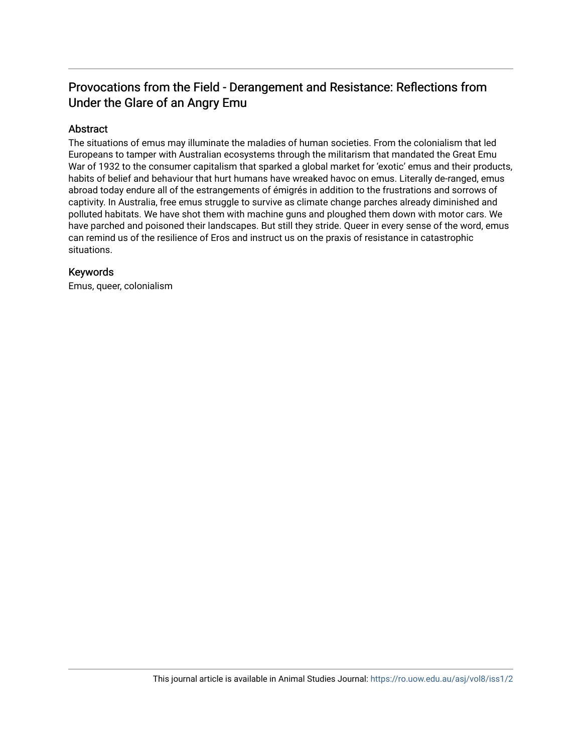# Provocations from the Field - Derangement and Resistance: Reflections from Under the Glare of an Angry Emu

## Abstract

The situations of emus may illuminate the maladies of human societies. From the colonialism that led Europeans to tamper with Australian ecosystems through the militarism that mandated the Great Emu War of 1932 to the consumer capitalism that sparked a global market for 'exotic' emus and their products, habits of belief and behaviour that hurt humans have wreaked havoc on emus. Literally de-ranged, emus abroad today endure all of the estrangements of émigrés in addition to the frustrations and sorrows of captivity. In Australia, free emus struggle to survive as climate change parches already diminished and polluted habitats. We have shot them with machine guns and ploughed them down with motor cars. We have parched and poisoned their landscapes. But still they stride. Queer in every sense of the word, emus can remind us of the resilience of Eros and instruct us on the praxis of resistance in catastrophic situations.

## Keywords

Emus, queer, colonialism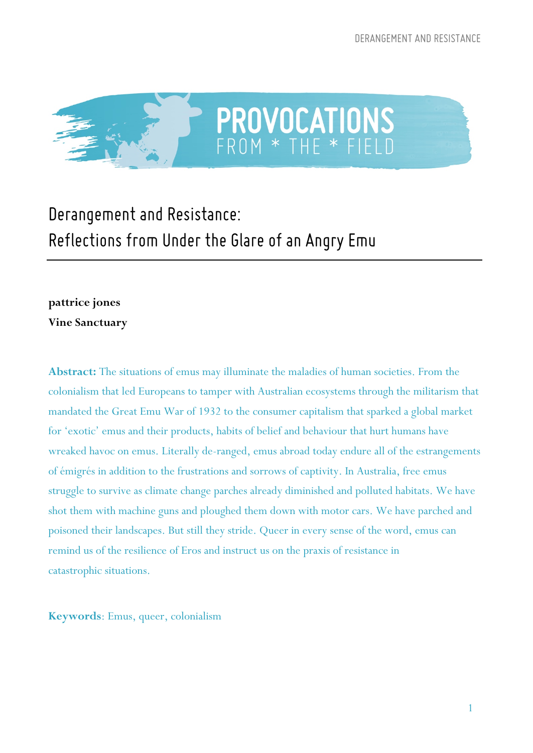

# *Derangement and Resistance: Reflections from Under the Glare of an Angry Emu*

## **pattrice jones Vine Sanctuary**

**Abstract:** The situations of emus may illuminate the maladies of human societies. From the colonialism that led Europeans to tamper with Australian ecosystems through the militarism that mandated the Great Emu War of 1932 to the consumer capitalism that sparked a global market for 'exotic' emus and their products, habits of belief and behaviour that hurt humans have wreaked havoc on emus. Literally de-ranged, emus abroad today endure all of the estrangements of émigrés in addition to the frustrations and sorrows of captivity. In Australia, free emus struggle to survive as climate change parches already diminished and polluted habitats. We have shot them with machine guns and ploughed them down with motor cars. We have parched and poisoned their landscapes. But still they stride. Queer in every sense of the word, emus can remind us of the resilience of Eros and instruct us on the praxis of resistance in catastrophic situations.

**Keywords**: Emus, queer, colonialism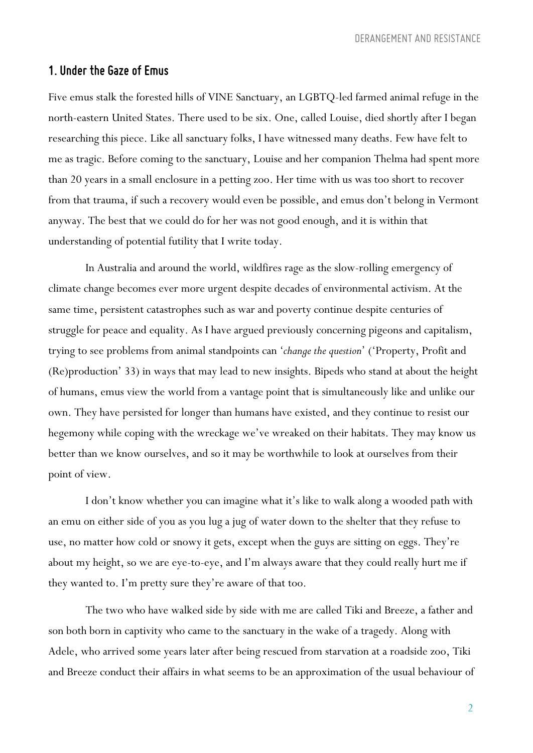#### *1. Under the Gaze of Emus*

Five emus stalk the forested hills of VINE Sanctuary, an LGBTQ-led farmed animal refuge in the north-eastern United States. There used to be six. One, called Louise, died shortly after I began researching this piece. Like all sanctuary folks, I have witnessed many deaths. Few have felt to me as tragic. Before coming to the sanctuary, Louise and her companion Thelma had spent more than 20 years in a small enclosure in a petting zoo. Her time with us was too short to recover from that trauma, if such a recovery would even be possible, and emus don't belong in Vermont anyway. The best that we could do for her was not good enough, and it is within that understanding of potential futility that I write today.

In Australia and around the world, wildfires rage as the slow-rolling emergency of climate change becomes ever more urgent despite decades of environmental activism. At the same time, persistent catastrophes such as war and poverty continue despite centuries of struggle for peace and equality. As I have argued previously concerning pigeons and capitalism, trying to see problems from animal standpoints can '*change the question*' ('Property, Profit and (Re)production' 33) in ways that may lead to new insights. Bipeds who stand at about the height of humans, emus view the world from a vantage point that is simultaneously like and unlike our own. They have persisted for longer than humans have existed, and they continue to resist our hegemony while coping with the wreckage we've wreaked on their habitats. They may know us better than we know ourselves, and so it may be worthwhile to look at ourselves from their point of view.

I don't know whether you can imagine what it's like to walk along a wooded path with an emu on either side of you as you lug a jug of water down to the shelter that they refuse to use, no matter how cold or snowy it gets, except when the guys are sitting on eggs. They're about my height, so we are eye-to-eye, and I'm always aware that they could really hurt me if they wanted to. I'm pretty sure they're aware of that too.

The two who have walked side by side with me are called Tiki and Breeze, a father and son both born in captivity who came to the sanctuary in the wake of a tragedy. Along with Adele, who arrived some years later after being rescued from starvation at a roadside zoo, Tiki and Breeze conduct their affairs in what seems to be an approximation of the usual behaviour of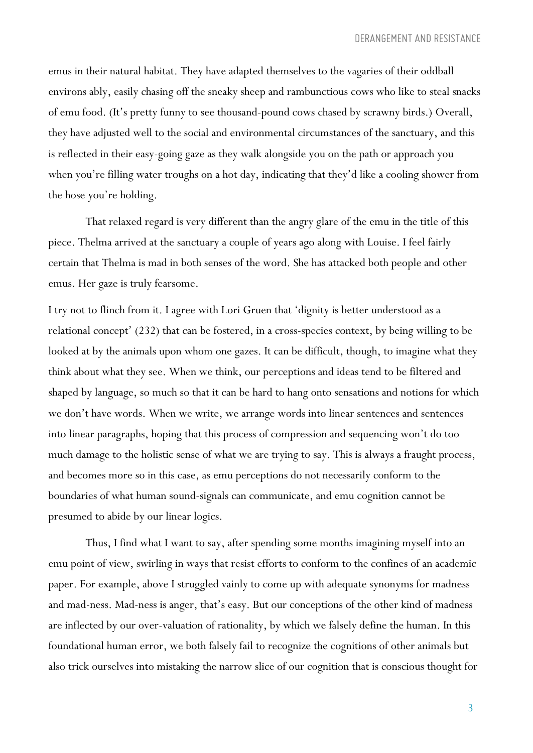emus in their natural habitat. They have adapted themselves to the vagaries of their oddball environs ably, easily chasing off the sneaky sheep and rambunctious cows who like to steal snacks of emu food. (It's pretty funny to see thousand-pound cows chased by scrawny birds.) Overall, they have adjusted well to the social and environmental circumstances of the sanctuary, and this is reflected in their easy-going gaze as they walk alongside you on the path or approach you when you're filling water troughs on a hot day, indicating that they'd like a cooling shower from the hose you're holding.

That relaxed regard is very different than the angry glare of the emu in the title of this piece. Thelma arrived at the sanctuary a couple of years ago along with Louise. I feel fairly certain that Thelma is mad in both senses of the word. She has attacked both people and other emus. Her gaze is truly fearsome.

I try not to flinch from it. I agree with Lori Gruen that 'dignity is better understood as a relational concept' (232) that can be fostered, in a cross-species context, by being willing to be looked at by the animals upon whom one gazes. It can be difficult, though, to imagine what they think about what they see. When we think, our perceptions and ideas tend to be filtered and shaped by language, so much so that it can be hard to hang onto sensations and notions for which we don't have words. When we write, we arrange words into linear sentences and sentences into linear paragraphs, hoping that this process of compression and sequencing won't do too much damage to the holistic sense of what we are trying to say. This is always a fraught process, and becomes more so in this case, as emu perceptions do not necessarily conform to the boundaries of what human sound-signals can communicate, and emu cognition cannot be presumed to abide by our linear logics.

Thus, I find what I want to say, after spending some months imagining myself into an emu point of view, swirling in ways that resist efforts to conform to the confines of an academic paper. For example, above I struggled vainly to come up with adequate synonyms for madness and mad-ness. Mad-ness is anger, that's easy. But our conceptions of the other kind of madness are inflected by our over-valuation of rationality, by which we falsely define the human. In this foundational human error, we both falsely fail to recognize the cognitions of other animals but also trick ourselves into mistaking the narrow slice of our cognition that is conscious thought for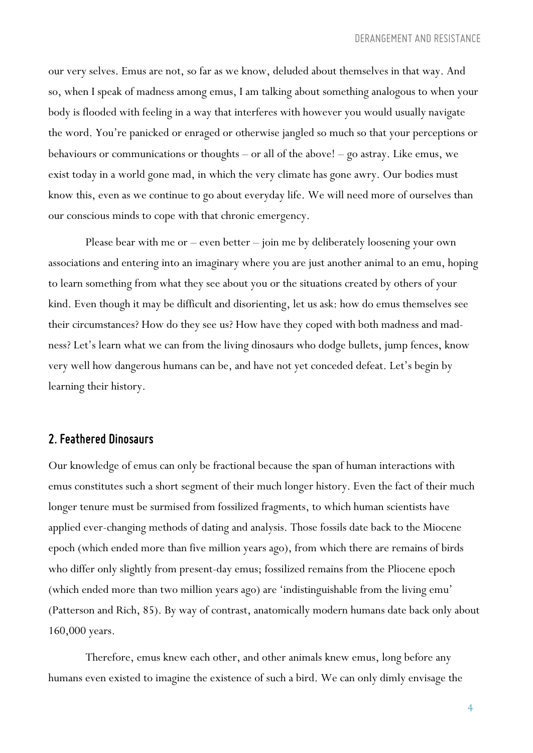our very selves. Emus are not, so far as we know, deluded about themselves in that way. And so, when I speak of madness among emus, I am talking about something analogous to when your body is flooded with feeling in a way that interferes with however you would usually navigate the word. You're panicked or enraged or otherwise jangled so much so that your perceptions or behaviours or communications or thoughts – or all of the above! – go astray. Like emus, we exist today in a world gone mad, in which the very climate has gone awry. Our bodies must know this, even as we continue to go about everyday life. We will need more of ourselves than our conscious minds to cope with that chronic emergency.

Please bear with me or – even better – join me by deliberately loosening your own associations and entering into an imaginary where you are just another animal to an emu, hoping to learn something from what they see about you or the situations created by others of your kind. Even though it may be difficult and disorienting, let us ask: how do emus themselves see their circumstances? How do they see us? How have they coped with both madness and madness? Let's learn what we can from the living dinosaurs who dodge bullets, jump fences, know very well how dangerous humans can be, and have not yet conceded defeat. Let's begin by learning their history.

#### *2. Feathered Dinosaurs*

Our knowledge of emus can only be fractional because the span of human interactions with emus constitutes such a short segment of their much longer history. Even the fact of their much longer tenure must be surmised from fossilized fragments, to which human scientists have applied ever-changing methods of dating and analysis. Those fossils date back to the Miocene epoch (which ended more than five million years ago), from which there are remains of birds who differ only slightly from present-day emus; fossilized remains from the Pliocene epoch (which ended more than two million years ago) are 'indistinguishable from the living emu' (Patterson and Rich, 85). By way of contrast, anatomically modern humans date back only about 160,000 years.

Therefore, emus knew each other, and other animals knew emus, long before any humans even existed to imagine the existence of such a bird. We can only dimly envisage the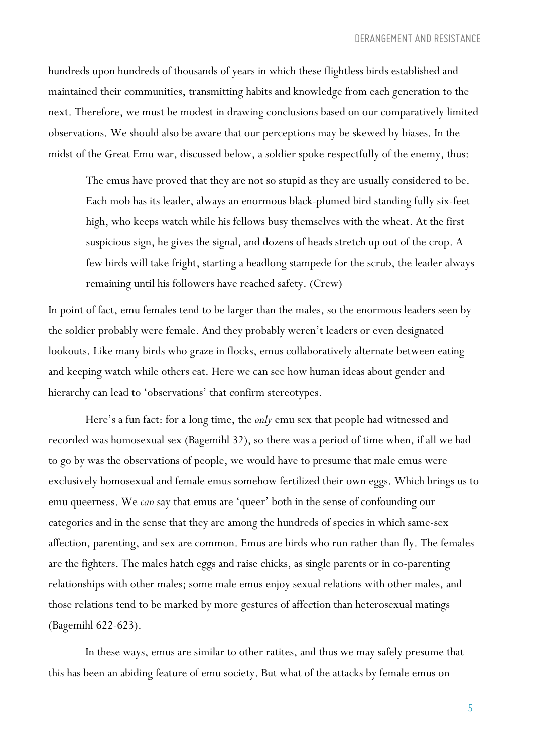hundreds upon hundreds of thousands of years in which these flightless birds established and maintained their communities, transmitting habits and knowledge from each generation to the next. Therefore, we must be modest in drawing conclusions based on our comparatively limited observations. We should also be aware that our perceptions may be skewed by biases. In the midst of the Great Emu war, discussed below, a soldier spoke respectfully of the enemy, thus:

The emus have proved that they are not so stupid as they are usually considered to be. Each mob has its leader, always an enormous black-plumed bird standing fully six-feet high, who keeps watch while his fellows busy themselves with the wheat. At the first suspicious sign, he gives the signal, and dozens of heads stretch up out of the crop. A few birds will take fright, starting a headlong stampede for the scrub, the leader always remaining until his followers have reached safety. (Crew)

In point of fact, emu females tend to be larger than the males, so the enormous leaders seen by the soldier probably were female. And they probably weren't leaders or even designated lookouts. Like many birds who graze in flocks, emus collaboratively alternate between eating and keeping watch while others eat. Here we can see how human ideas about gender and hierarchy can lead to 'observations' that confirm stereotypes.

Here's a fun fact: for a long time, the *only* emu sex that people had witnessed and recorded was homosexual sex (Bagemihl 32), so there was a period of time when, if all we had to go by was the observations of people, we would have to presume that male emus were exclusively homosexual and female emus somehow fertilized their own eggs. Which brings us to emu queerness. We *can* say that emus are 'queer' both in the sense of confounding our categories and in the sense that they are among the hundreds of species in which same-sex affection, parenting, and sex are common. Emus are birds who run rather than fly. The females are the fighters. The males hatch eggs and raise chicks, as single parents or in co-parenting relationships with other males; some male emus enjoy sexual relations with other males, and those relations tend to be marked by more gestures of affection than heterosexual matings (Bagemihl 622-623).

In these ways, emus are similar to other ratites, and thus we may safely presume that this has been an abiding feature of emu society. But what of the attacks by female emus on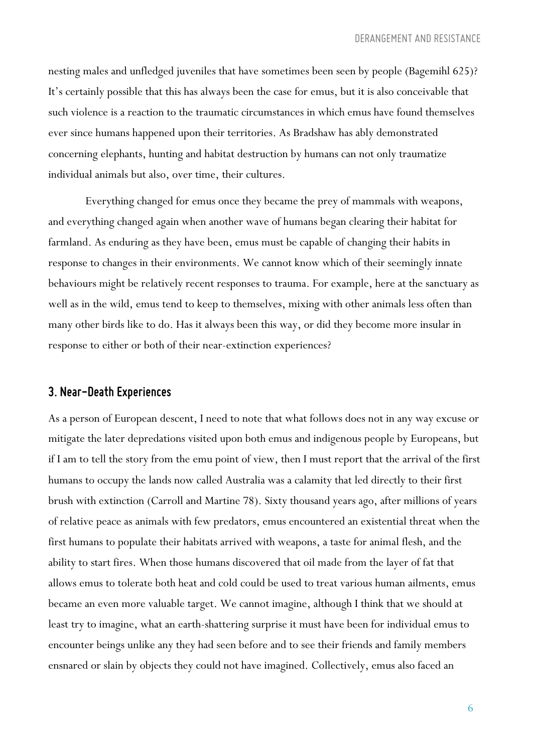nesting males and unfledged juveniles that have sometimes been seen by people (Bagemihl 625)? It's certainly possible that this has always been the case for emus, but it is also conceivable that such violence is a reaction to the traumatic circumstances in which emus have found themselves ever since humans happened upon their territories. As Bradshaw has ably demonstrated concerning elephants, hunting and habitat destruction by humans can not only traumatize individual animals but also, over time, their cultures.

Everything changed for emus once they became the prey of mammals with weapons, and everything changed again when another wave of humans began clearing their habitat for farmland. As enduring as they have been, emus must be capable of changing their habits in response to changes in their environments. We cannot know which of their seemingly innate behaviours might be relatively recent responses to trauma. For example, here at the sanctuary as well as in the wild, emus tend to keep to themselves, mixing with other animals less often than many other birds like to do. Has it always been this way, or did they become more insular in response to either or both of their near-extinction experiences?

#### *3. Near-DeathExperiences*

As a person of European descent, I need to note that what follows does not in any way excuse or mitigate the later depredations visited upon both emus and indigenous people by Europeans, but if I am to tell the story from the emu point of view, then I must report that the arrival of the first humans to occupy the lands now called Australia was a calamity that led directly to their first brush with extinction (Carroll and Martine 78). Sixty thousand years ago, after millions of years of relative peace as animals with few predators, emus encountered an existential threat when the first humans to populate their habitats arrived with weapons, a taste for animal flesh, and the ability to start fires. When those humans discovered that oil made from the layer of fat that allows emus to tolerate both heat and cold could be used to treat various human ailments, emus became an even more valuable target. We cannot imagine, although I think that we should at least try to imagine, what an earth-shattering surprise it must have been for individual emus to encounter beings unlike any they had seen before and to see their friends and family members ensnared or slain by objects they could not have imagined. Collectively, emus also faced an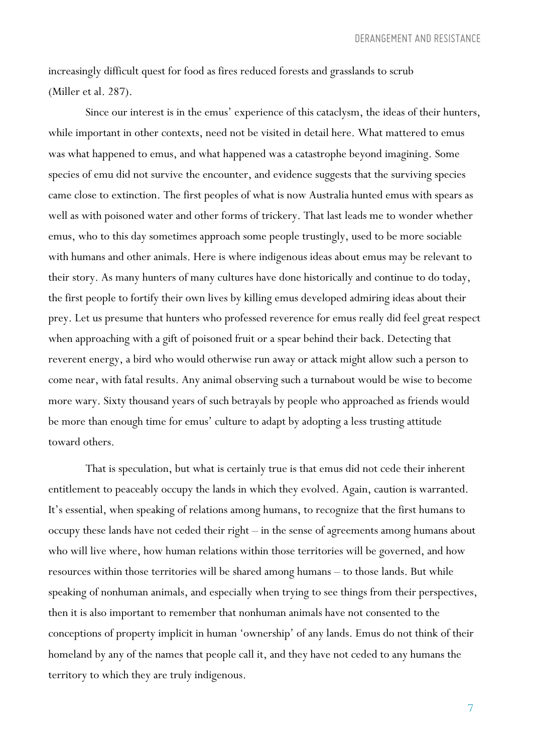increasingly difficult quest for food as fires reduced forests and grasslands to scrub (Miller et al. 287).

Since our interest is in the emus' experience of this cataclysm, the ideas of their hunters, while important in other contexts, need not be visited in detail here. What mattered to emus was what happened to emus, and what happened was a catastrophe beyond imagining. Some species of emu did not survive the encounter, and evidence suggests that the surviving species came close to extinction. The first peoples of what is now Australia hunted emus with spears as well as with poisoned water and other forms of trickery. That last leads me to wonder whether emus, who to this day sometimes approach some people trustingly, used to be more sociable with humans and other animals. Here is where indigenous ideas about emus may be relevant to their story. As many hunters of many cultures have done historically and continue to do today, the first people to fortify their own lives by killing emus developed admiring ideas about their prey. Let us presume that hunters who professed reverence for emus really did feel great respect when approaching with a gift of poisoned fruit or a spear behind their back. Detecting that reverent energy, a bird who would otherwise run away or attack might allow such a person to come near, with fatal results. Any animal observing such a turnabout would be wise to become more wary. Sixty thousand years of such betrayals by people who approached as friends would be more than enough time for emus' culture to adapt by adopting a less trusting attitude toward others.

That is speculation, but what is certainly true is that emus did not cede their inherent entitlement to peaceably occupy the lands in which they evolved. Again, caution is warranted. It's essential, when speaking of relations among humans, to recognize that the first humans to occupy these lands have not ceded their right – in the sense of agreements among humans about who will live where, how human relations within those territories will be governed, and how resources within those territories will be shared among humans – to those lands. But while speaking of nonhuman animals, and especially when trying to see things from their perspectives, then it is also important to remember that nonhuman animals have not consented to the conceptions of property implicit in human 'ownership' of any lands. Emus do not think of their homeland by any of the names that people call it, and they have not ceded to any humans the territory to which they are truly indigenous.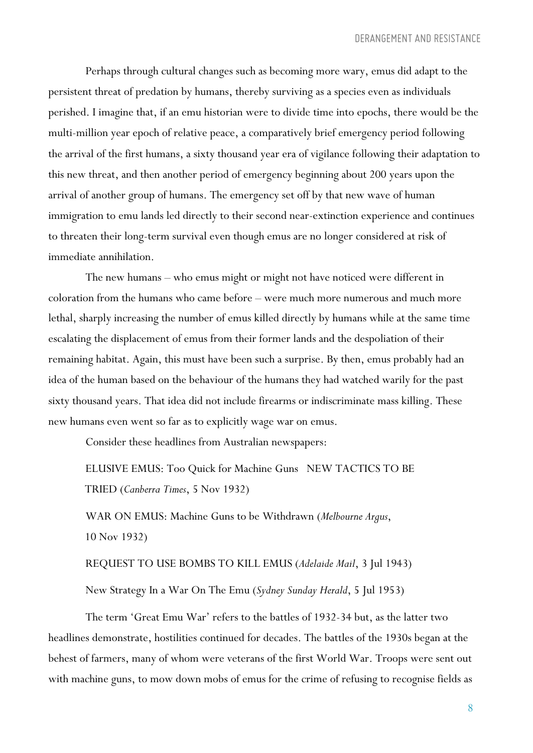Perhaps through cultural changes such as becoming more wary, emus did adapt to the persistent threat of predation by humans, thereby surviving as a species even as individuals perished. I imagine that, if an emu historian were to divide time into epochs, there would be the multi-million year epoch of relative peace, a comparatively brief emergency period following the arrival of the first humans, a sixty thousand year era of vigilance following their adaptation to this new threat, and then another period of emergency beginning about 200 years upon the arrival of another group of humans. The emergency set off by that new wave of human immigration to emu lands led directly to their second near-extinction experience and continues to threaten their long-term survival even though emus are no longer considered at risk of immediate annihilation.

The new humans – who emus might or might not have noticed were different in coloration from the humans who came before – were much more numerous and much more lethal, sharply increasing the number of emus killed directly by humans while at the same time escalating the displacement of emus from their former lands and the despoliation of their remaining habitat. Again, this must have been such a surprise. By then, emus probably had an idea of the human based on the behaviour of the humans they had watched warily for the past sixty thousand years. That idea did not include firearms or indiscriminate mass killing. These new humans even went so far as to explicitly wage war on emus.

Consider these headlines from Australian newspapers:

ELUSIVE EMUS: Too Quick for Machine Guns NEW TACTICS TO BE TRIED (*Canberra Times*, 5 Nov 1932)

WAR ON EMUS: Machine Guns to be Withdrawn (*Melbourne Argus*, 10 Nov 1932)

REQUEST TO USE BOMBS TO KILL EMUS (*Adelaide Mail*, 3 Jul 1943)

New Strategy In a War On The Emu (*Sydney Sunday Herald*, 5 Jul 1953)

The term 'Great Emu War' refers to the battles of 1932-34 but, as the latter two headlines demonstrate, hostilities continued for decades. The battles of the 1930s began at the behest of farmers, many of whom were veterans of the first World War. Troops were sent out with machine guns, to mow down mobs of emus for the crime of refusing to recognise fields as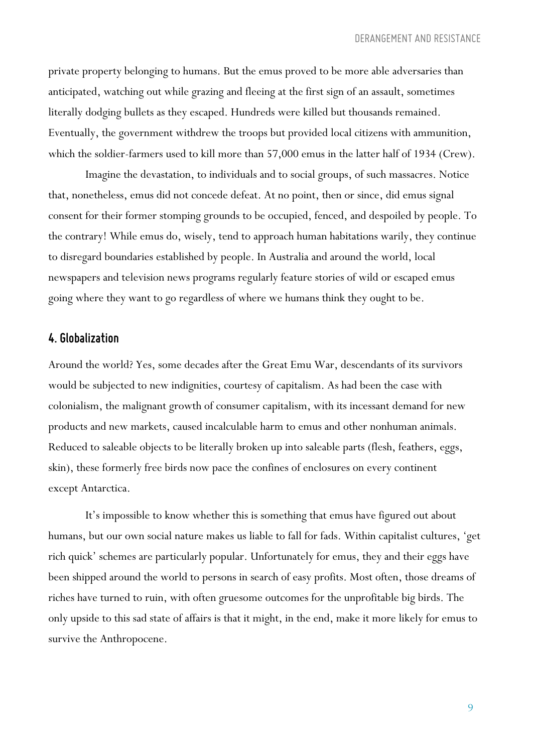private property belonging to humans. But the emus proved to be more able adversaries than anticipated, watching out while grazing and fleeing at the first sign of an assault, sometimes literally dodging bullets as they escaped. Hundreds were killed but thousands remained. Eventually, the government withdrew the troops but provided local citizens with ammunition, which the soldier-farmers used to kill more than 57,000 emus in the latter half of 1934 (Crew).

Imagine the devastation, to individuals and to social groups, of such massacres. Notice that, nonetheless, emus did not concede defeat. At no point, then or since, did emus signal consent for their former stomping grounds to be occupied, fenced, and despoiled by people. To the contrary! While emus do, wisely, tend to approach human habitations warily, they continue to disregard boundaries established by people. In Australia and around the world, local newspapers and television news programs regularly feature stories of wild or escaped emus going where they want to go regardless of where we humans think they ought to be.

#### *4. Globalization*

Around the world? Yes, some decades after the Great Emu War, descendants of its survivors would be subjected to new indignities, courtesy of capitalism. As had been the case with colonialism, the malignant growth of consumer capitalism, with its incessant demand for new products and new markets, caused incalculable harm to emus and other nonhuman animals. Reduced to saleable objects to be literally broken up into saleable parts (flesh, feathers, eggs, skin), these formerly free birds now pace the confines of enclosures on every continent except Antarctica.

It's impossible to know whether this is something that emus have figured out about humans, but our own social nature makes us liable to fall for fads. Within capitalist cultures, 'get rich quick' schemes are particularly popular. Unfortunately for emus, they and their eggs have been shipped around the world to persons in search of easy profits. Most often, those dreams of riches have turned to ruin, with often gruesome outcomes for the unprofitable big birds. The only upside to this sad state of affairs is that it might, in the end, make it more likely for emus to survive the Anthropocene.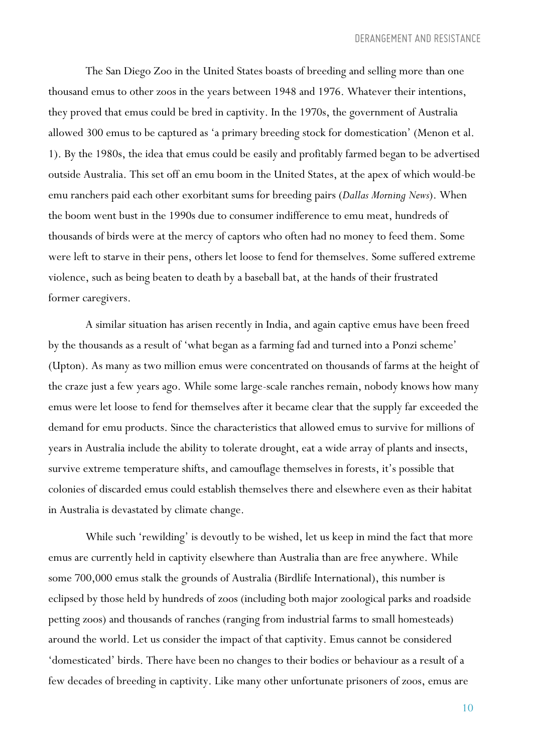The San Diego Zoo in the United States boasts of breeding and selling more than one thousand emus to other zoos in the years between 1948 and 1976. Whatever their intentions, they proved that emus could be bred in captivity. In the 1970s, the government of Australia allowed 300 emus to be captured as 'a primary breeding stock for domestication' (Menon et al. 1). By the 1980s, the idea that emus could be easily and profitably farmed began to be advertised outside Australia. This set off an emu boom in the United States, at the apex of which would-be emu ranchers paid each other exorbitant sums for breeding pairs (*Dallas Morning News*). When the boom went bust in the 1990s due to consumer indifference to emu meat, hundreds of thousands of birds were at the mercy of captors who often had no money to feed them. Some were left to starve in their pens, others let loose to fend for themselves. Some suffered extreme violence, such as being beaten to death by a baseball bat, at the hands of their frustrated former caregivers.

A similar situation has arisen recently in India, and again captive emus have been freed by the thousands as a result of 'what began as a farming fad and turned into a Ponzi scheme' (Upton). As many as two million emus were concentrated on thousands of farms at the height of the craze just a few years ago. While some large-scale ranches remain, nobody knows how many emus were let loose to fend for themselves after it became clear that the supply far exceeded the demand for emu products. Since the characteristics that allowed emus to survive for millions of years in Australia include the ability to tolerate drought, eat a wide array of plants and insects, survive extreme temperature shifts, and camouflage themselves in forests, it's possible that colonies of discarded emus could establish themselves there and elsewhere even as their habitat in Australia is devastated by climate change.

While such 'rewilding' is devoutly to be wished, let us keep in mind the fact that more emus are currently held in captivity elsewhere than Australia than are free anywhere. While some 700,000 emus stalk the grounds of Australia (Birdlife International), this number is eclipsed by those held by hundreds of zoos (including both major zoological parks and roadside petting zoos) and thousands of ranches (ranging from industrial farms to small homesteads) around the world. Let us consider the impact of that captivity. Emus cannot be considered 'domesticated' birds. There have been no changes to their bodies or behaviour as a result of a few decades of breeding in captivity. Like many other unfortunate prisoners of zoos, emus are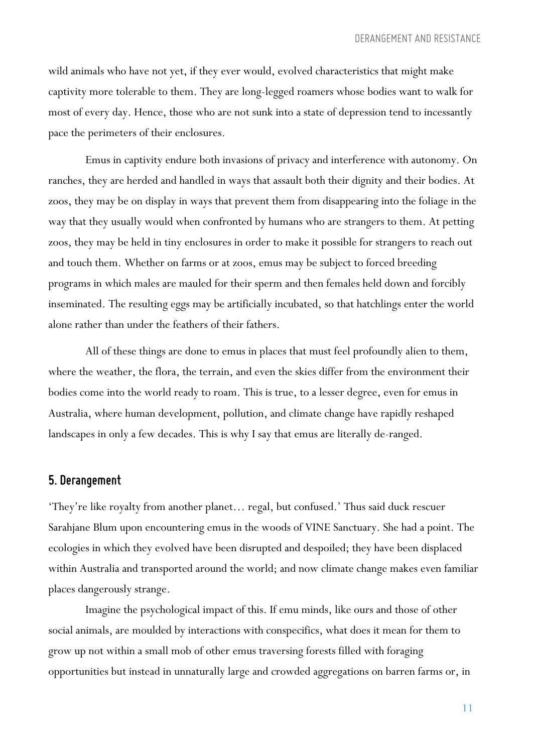wild animals who have not yet, if they ever would, evolved characteristics that might make captivity more tolerable to them. They are long-legged roamers whose bodies want to walk for most of every day. Hence, those who are not sunk into a state of depression tend to incessantly pace the perimeters of their enclosures.

Emus in captivity endure both invasions of privacy and interference with autonomy. On ranches, they are herded and handled in ways that assault both their dignity and their bodies. At zoos, they may be on display in ways that prevent them from disappearing into the foliage in the way that they usually would when confronted by humans who are strangers to them. At petting zoos, they may be held in tiny enclosures in order to make it possible for strangers to reach out and touch them. Whether on farms or at zoos, emus may be subject to forced breeding programs in which males are mauled for their sperm and then females held down and forcibly inseminated. The resulting eggs may be artificially incubated, so that hatchlings enter the world alone rather than under the feathers of their fathers.

All of these things are done to emus in places that must feel profoundly alien to them, where the weather, the flora, the terrain, and even the skies differ from the environment their bodies come into the world ready to roam. This is true, to a lesser degree, even for emus in Australia, where human development, pollution, and climate change have rapidly reshaped landscapes in only a few decades. This is why I say that emus are literally de-ranged.

#### *5. Derangement*

'They're like royalty from another planet… regal, but confused.' Thus said duck rescuer Sarahjane Blum upon encountering emus in the woods of VINE Sanctuary. She had a point. The ecologies in which they evolved have been disrupted and despoiled; they have been displaced within Australia and transported around the world; and now climate change makes even familiar places dangerously strange.

Imagine the psychological impact of this. If emu minds, like ours and those of other social animals, are moulded by interactions with conspecifics, what does it mean for them to grow up not within a small mob of other emus traversing forests filled with foraging opportunities but instead in unnaturally large and crowded aggregations on barren farms or, in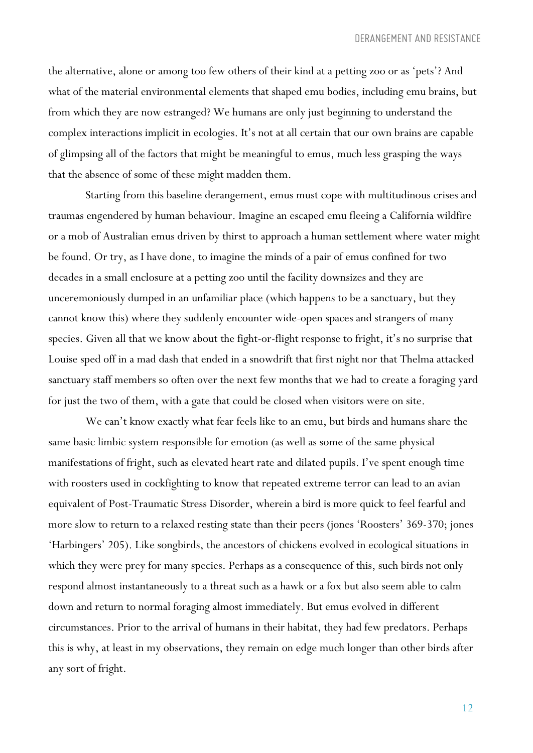the alternative, alone or among too few others of their kind at a petting zoo or as 'pets'? And what of the material environmental elements that shaped emu bodies, including emu brains, but from which they are now estranged? We humans are only just beginning to understand the complex interactions implicit in ecologies. It's not at all certain that our own brains are capable of glimpsing all of the factors that might be meaningful to emus, much less grasping the ways that the absence of some of these might madden them.

Starting from this baseline derangement, emus must cope with multitudinous crises and traumas engendered by human behaviour. Imagine an escaped emu fleeing a California wildfire or a mob of Australian emus driven by thirst to approach a human settlement where water might be found. Or try, as I have done, to imagine the minds of a pair of emus confined for two decades in a small enclosure at a petting zoo until the facility downsizes and they are unceremoniously dumped in an unfamiliar place (which happens to be a sanctuary, but they cannot know this) where they suddenly encounter wide-open spaces and strangers of many species. Given all that we know about the fight-or-flight response to fright, it's no surprise that Louise sped off in a mad dash that ended in a snowdrift that first night nor that Thelma attacked sanctuary staff members so often over the next few months that we had to create a foraging yard for just the two of them, with a gate that could be closed when visitors were on site.

We can't know exactly what fear feels like to an emu, but birds and humans share the same basic limbic system responsible for emotion (as well as some of the same physical manifestations of fright, such as elevated heart rate and dilated pupils. I've spent enough time with roosters used in cockfighting to know that repeated extreme terror can lead to an avian equivalent of Post-Traumatic Stress Disorder, wherein a bird is more quick to feel fearful and more slow to return to a relaxed resting state than their peers (jones 'Roosters' 369-370; jones 'Harbingers' 205). Like songbirds, the ancestors of chickens evolved in ecological situations in which they were prey for many species. Perhaps as a consequence of this, such birds not only respond almost instantaneously to a threat such as a hawk or a fox but also seem able to calm down and return to normal foraging almost immediately. But emus evolved in different circumstances. Prior to the arrival of humans in their habitat, they had few predators. Perhaps this is why, at least in my observations, they remain on edge much longer than other birds after any sort of fright.

12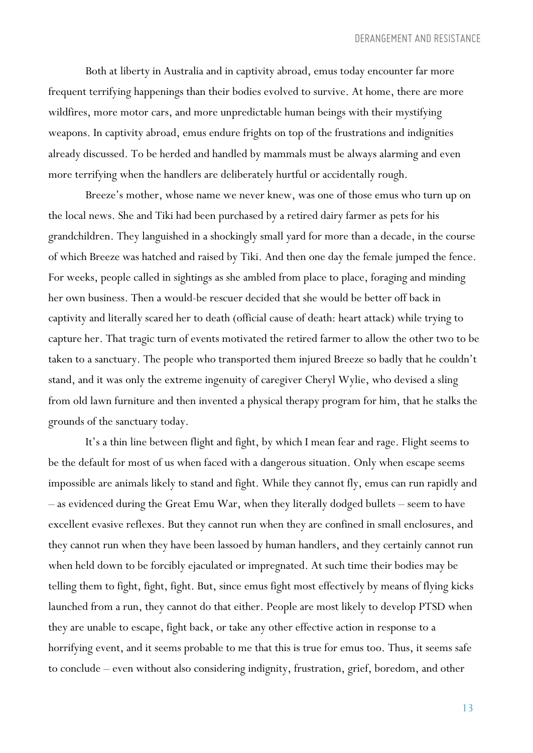Both at liberty in Australia and in captivity abroad, emus today encounter far more frequent terrifying happenings than their bodies evolved to survive. At home, there are more wildfires, more motor cars, and more unpredictable human beings with their mystifying weapons. In captivity abroad, emus endure frights on top of the frustrations and indignities already discussed. To be herded and handled by mammals must be always alarming and even more terrifying when the handlers are deliberately hurtful or accidentally rough.

Breeze's mother, whose name we never knew, was one of those emus who turn up on the local news. She and Tiki had been purchased by a retired dairy farmer as pets for his grandchildren. They languished in a shockingly small yard for more than a decade, in the course of which Breeze was hatched and raised by Tiki. And then one day the female jumped the fence. For weeks, people called in sightings as she ambled from place to place, foraging and minding her own business. Then a would-be rescuer decided that she would be better off back in captivity and literally scared her to death (official cause of death: heart attack) while trying to capture her. That tragic turn of events motivated the retired farmer to allow the other two to be taken to a sanctuary. The people who transported them injured Breeze so badly that he couldn't stand, and it was only the extreme ingenuity of caregiver Cheryl Wylie, who devised a sling from old lawn furniture and then invented a physical therapy program for him, that he stalks the grounds of the sanctuary today.

It's a thin line between flight and fight, by which I mean fear and rage. Flight seems to be the default for most of us when faced with a dangerous situation. Only when escape seems impossible are animals likely to stand and fight. While they cannot fly, emus can run rapidly and – as evidenced during the Great Emu War, when they literally dodged bullets – seem to have excellent evasive reflexes. But they cannot run when they are confined in small enclosures, and they cannot run when they have been lassoed by human handlers, and they certainly cannot run when held down to be forcibly ejaculated or impregnated. At such time their bodies may be telling them to fight, fight, fight. But, since emus fight most effectively by means of flying kicks launched from a run, they cannot do that either. People are most likely to develop PTSD when they are unable to escape, fight back, or take any other effective action in response to a horrifying event, and it seems probable to me that this is true for emus too. Thus, it seems safe to conclude – even without also considering indignity, frustration, grief, boredom, and other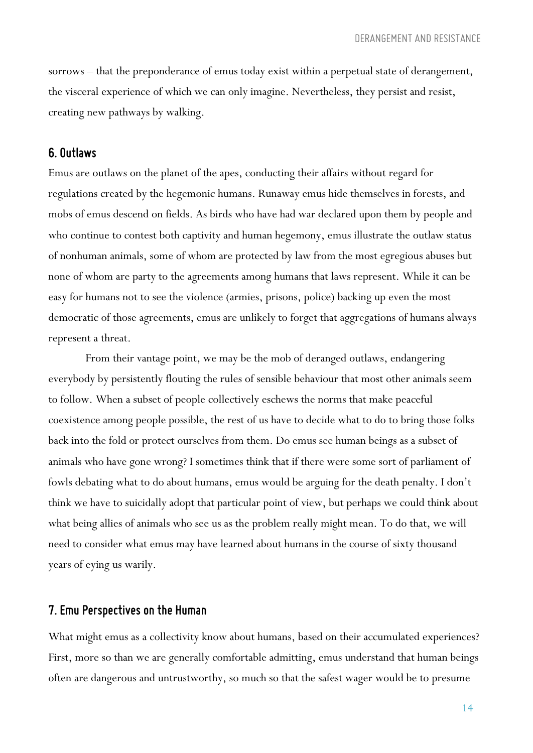sorrows – that the preponderance of emus today exist within a perpetual state of derangement, the visceral experience of which we can only imagine. Nevertheless, they persist and resist, creating new pathways by walking.

#### *6. Outlaws*

Emus are outlaws on the planet of the apes, conducting their affairs without regard for regulations created by the hegemonic humans. Runaway emus hide themselves in forests, and mobs of emus descend on fields. As birds who have had war declared upon them by people and who continue to contest both captivity and human hegemony, emus illustrate the outlaw status of nonhuman animals, some of whom are protected by law from the most egregious abuses but none of whom are party to the agreements among humans that laws represent. While it can be easy for humans not to see the violence (armies, prisons, police) backing up even the most democratic of those agreements, emus are unlikely to forget that aggregations of humans always represent a threat.

From their vantage point, we may be the mob of deranged outlaws, endangering everybody by persistently flouting the rules of sensible behaviour that most other animals seem to follow. When a subset of people collectively eschews the norms that make peaceful coexistence among people possible, the rest of us have to decide what to do to bring those folks back into the fold or protect ourselves from them. Do emus see human beings as a subset of animals who have gone wrong? I sometimes think that if there were some sort of parliament of fowls debating what to do about humans, emus would be arguing for the death penalty. I don't think we have to suicidally adopt that particular point of view, but perhaps we could think about what being allies of animals who see us as the problem really might mean. To do that, we will need to consider what emus may have learned about humans in the course of sixty thousand years of eying us warily.

#### *7. Emu Perspectives onthe Human*

What might emus as a collectivity know about humans, based on their accumulated experiences? First, more so than we are generally comfortable admitting, emus understand that human beings often are dangerous and untrustworthy, so much so that the safest wager would be to presume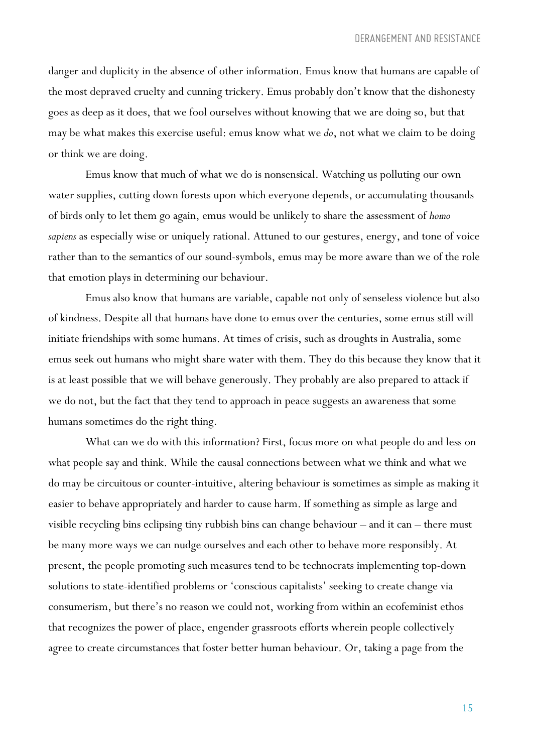danger and duplicity in the absence of other information. Emus know that humans are capable of the most depraved cruelty and cunning trickery. Emus probably don't know that the dishonesty goes as deep as it does, that we fool ourselves without knowing that we are doing so, but that may be what makes this exercise useful: emus know what we *do*, not what we claim to be doing or think we are doing.

Emus know that much of what we do is nonsensical. Watching us polluting our own water supplies, cutting down forests upon which everyone depends, or accumulating thousands of birds only to let them go again, emus would be unlikely to share the assessment of *homo sapiens* as especially wise or uniquely rational. Attuned to our gestures, energy, and tone of voice rather than to the semantics of our sound-symbols, emus may be more aware than we of the role that emotion plays in determining our behaviour.

Emus also know that humans are variable, capable not only of senseless violence but also of kindness. Despite all that humans have done to emus over the centuries, some emus still will initiate friendships with some humans. At times of crisis, such as droughts in Australia, some emus seek out humans who might share water with them. They do this because they know that it is at least possible that we will behave generously. They probably are also prepared to attack if we do not, but the fact that they tend to approach in peace suggests an awareness that some humans sometimes do the right thing.

What can we do with this information? First, focus more on what people do and less on what people say and think. While the causal connections between what we think and what we do may be circuitous or counter-intuitive, altering behaviour is sometimes as simple as making it easier to behave appropriately and harder to cause harm. If something as simple as large and visible recycling bins eclipsing tiny rubbish bins can change behaviour – and it can – there must be many more ways we can nudge ourselves and each other to behave more responsibly. At present, the people promoting such measures tend to be technocrats implementing top-down solutions to state-identified problems or 'conscious capitalists' seeking to create change via consumerism, but there's no reason we could not, working from within an ecofeminist ethos that recognizes the power of place, engender grassroots efforts wherein people collectively agree to create circumstances that foster better human behaviour. Or, taking a page from the

15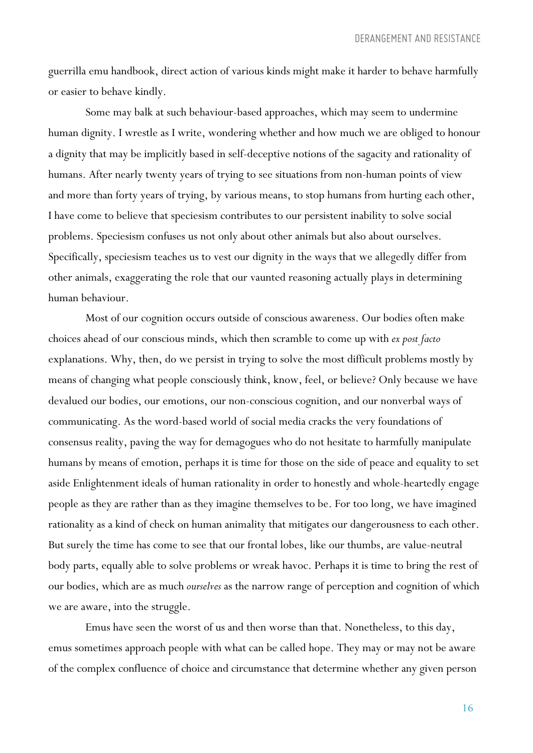guerrilla emu handbook, direct action of various kinds might make it harder to behave harmfully or easier to behave kindly.

Some may balk at such behaviour-based approaches, which may seem to undermine human dignity. I wrestle as I write, wondering whether and how much we are obliged to honour a dignity that may be implicitly based in self-deceptive notions of the sagacity and rationality of humans. After nearly twenty years of trying to see situations from non-human points of view and more than forty years of trying, by various means, to stop humans from hurting each other, I have come to believe that speciesism contributes to our persistent inability to solve social problems. Speciesism confuses us not only about other animals but also about ourselves. Specifically, speciesism teaches us to vest our dignity in the ways that we allegedly differ from other animals, exaggerating the role that our vaunted reasoning actually plays in determining human behaviour.

Most of our cognition occurs outside of conscious awareness. Our bodies often make choices ahead of our conscious minds, which then scramble to come up with *ex post facto* explanations. Why, then, do we persist in trying to solve the most difficult problems mostly by means of changing what people consciously think, know, feel, or believe? Only because we have devalued our bodies, our emotions, our non-conscious cognition, and our nonverbal ways of communicating. As the word-based world of social media cracks the very foundations of consensus reality, paving the way for demagogues who do not hesitate to harmfully manipulate humans by means of emotion, perhaps it is time for those on the side of peace and equality to set aside Enlightenment ideals of human rationality in order to honestly and whole-heartedly engage people as they are rather than as they imagine themselves to be. For too long, we have imagined rationality as a kind of check on human animality that mitigates our dangerousness to each other. But surely the time has come to see that our frontal lobes, like our thumbs, are value-neutral body parts, equally able to solve problems or wreak havoc. Perhaps it is time to bring the rest of our bodies, which are as much *ourselves* as the narrow range of perception and cognition of which we are aware, into the struggle.

Emus have seen the worst of us and then worse than that. Nonetheless, to this day, emus sometimes approach people with what can be called hope. They may or may not be aware of the complex confluence of choice and circumstance that determine whether any given person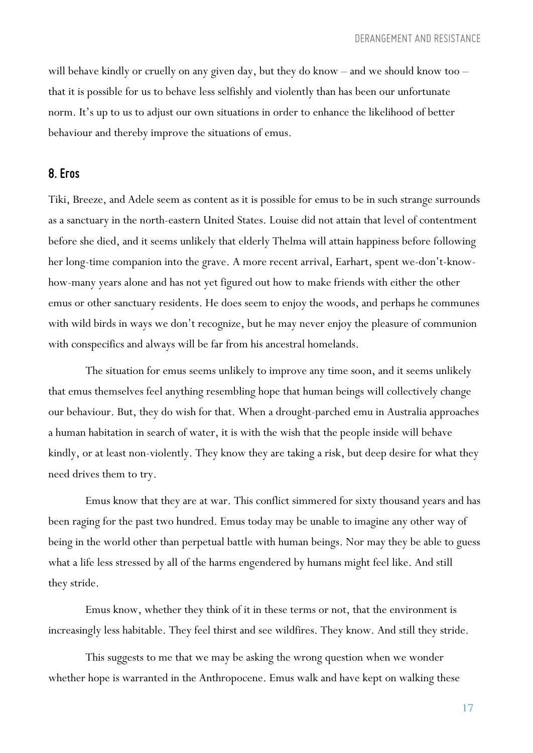will behave kindly or cruelly on any given day, but they do know – and we should know too – that it is possible for us to behave less selfishly and violently than has been our unfortunate norm. It's up to us to adjust our own situations in order to enhance the likelihood of better behaviour and thereby improve the situations of emus.

#### *8. Eros*

Tiki, Breeze, and Adele seem as content as it is possible for emus to be in such strange surrounds as a sanctuary in the north-eastern United States. Louise did not attain that level of contentment before she died, and it seems unlikely that elderly Thelma will attain happiness before following her long-time companion into the grave. A more recent arrival, Earhart, spent we-don't-knowhow-many years alone and has not yet figured out how to make friends with either the other emus or other sanctuary residents. He does seem to enjoy the woods, and perhaps he communes with wild birds in ways we don't recognize, but he may never enjoy the pleasure of communion with conspecifics and always will be far from his ancestral homelands.

The situation for emus seems unlikely to improve any time soon, and it seems unlikely that emus themselves feel anything resembling hope that human beings will collectively change our behaviour. But, they do wish for that. When a drought-parched emu in Australia approaches a human habitation in search of water, it is with the wish that the people inside will behave kindly, or at least non-violently. They know they are taking a risk, but deep desire for what they need drives them to try.

Emus know that they are at war. This conflict simmered for sixty thousand years and has been raging for the past two hundred. Emus today may be unable to imagine any other way of being in the world other than perpetual battle with human beings. Nor may they be able to guess what a life less stressed by all of the harms engendered by humans might feel like. And still they stride.

Emus know, whether they think of it in these terms or not, that the environment is increasingly less habitable. They feel thirst and see wildfires. They know. And still they stride.

This suggests to me that we may be asking the wrong question when we wonder whether hope is warranted in the Anthropocene. Emus walk and have kept on walking these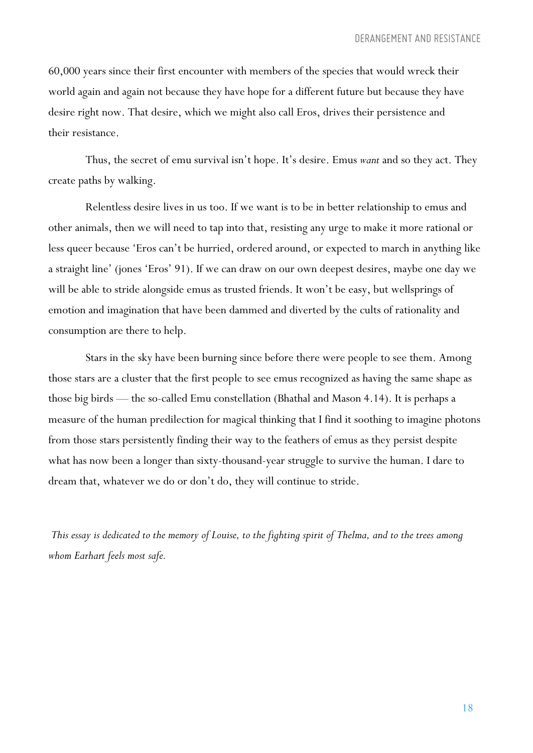60,000 years since their first encounter with members of the species that would wreck their world again and again not because they have hope for a different future but because they have desire right now. That desire, which we might also call Eros, drives their persistence and their resistance.

Thus, the secret of emu survival isn't hope. It's desire. Emus *want* and so they act. They create paths by walking.

Relentless desire lives in us too. If we want is to be in better relationship to emus and other animals, then we will need to tap into that, resisting any urge to make it more rational or less queer because 'Eros can't be hurried, ordered around, or expected to march in anything like a straight line' (jones 'Eros' 91). If we can draw on our own deepest desires, maybe one day we will be able to stride alongside emus as trusted friends. It won't be easy, but wellsprings of emotion and imagination that have been dammed and diverted by the cults of rationality and consumption are there to help.

Stars in the sky have been burning since before there were people to see them. Among those stars are a cluster that the first people to see emus recognized as having the same shape as those big birds — the so-called Emu constellation (Bhathal and Mason 4.14). It is perhaps a measure of the human predilection for magical thinking that I find it soothing to imagine photons from those stars persistently finding their way to the feathers of emus as they persist despite what has now been a longer than sixty-thousand-year struggle to survive the human. I dare to dream that, whatever we do or don't do, they will continue to stride.

This essay is dedicated to the memory of Louise, to the fighting spirit of Thelma, and to the trees among *whom Earhart feels most safe.*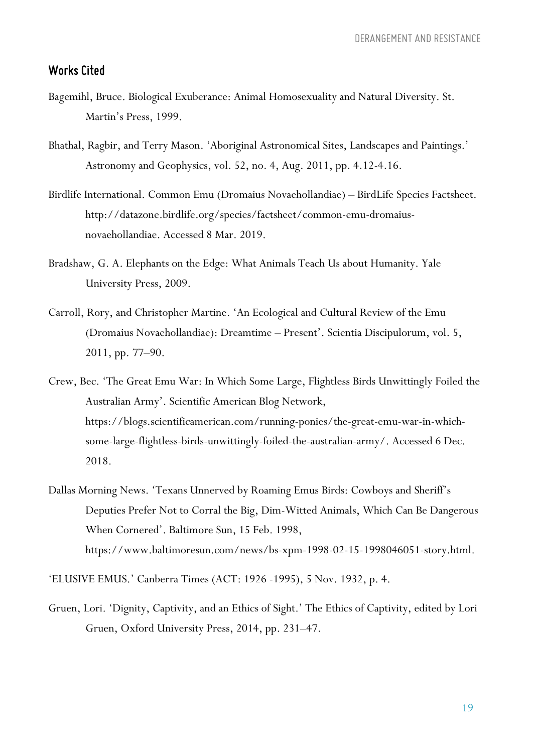## *Works Cited*

- Bagemihl, Bruce. Biological Exuberance: Animal Homosexuality and Natural Diversity. St. Martin's Press, 1999.
- Bhathal, Ragbir, and Terry Mason. 'Aboriginal Astronomical Sites, Landscapes and Paintings.' Astronomy and Geophysics, vol. 52, no. 4, Aug. 2011, pp. 4.12-4.16.
- Birdlife International. Common Emu (Dromaius Novaehollandiae) BirdLife Species Factsheet. http://datazone.birdlife.org/species/factsheet/common-emu-dromaiusnovaehollandiae. Accessed 8 Mar. 2019.
- Bradshaw, G. A. Elephants on the Edge: What Animals Teach Us about Humanity. Yale University Press, 2009.
- Carroll, Rory, and Christopher Martine. 'An Ecological and Cultural Review of the Emu (Dromaius Novaehollandiae): Dreamtime – Present'. Scientia Discipulorum, vol. 5, 2011, pp. 77–90.
- Crew, Bec. 'The Great Emu War: In Which Some Large, Flightless Birds Unwittingly Foiled the Australian Army'. Scientific American Blog Network, https://blogs.scientificamerican.com/running-ponies/the-great-emu-war-in-whichsome-large-flightless-birds-unwittingly-foiled-the-australian-army/. Accessed 6 Dec. 2018.
- Dallas Morning News. 'Texans Unnerved by Roaming Emus Birds: Cowboys and Sheriff's Deputies Prefer Not to Corral the Big, Dim-Witted Animals, Which Can Be Dangerous When Cornered'. Baltimore Sun, 15 Feb. 1998, https://www.baltimoresun.com/news/bs-xpm-1998-02-15-1998046051-story.html.

'ELUSIVE EMUS.' Canberra Times (ACT: 1926 -1995), 5 Nov. 1932, p. 4.

Gruen, Lori. 'Dignity, Captivity, and an Ethics of Sight.' The Ethics of Captivity, edited by Lori Gruen, Oxford University Press, 2014, pp. 231–47.